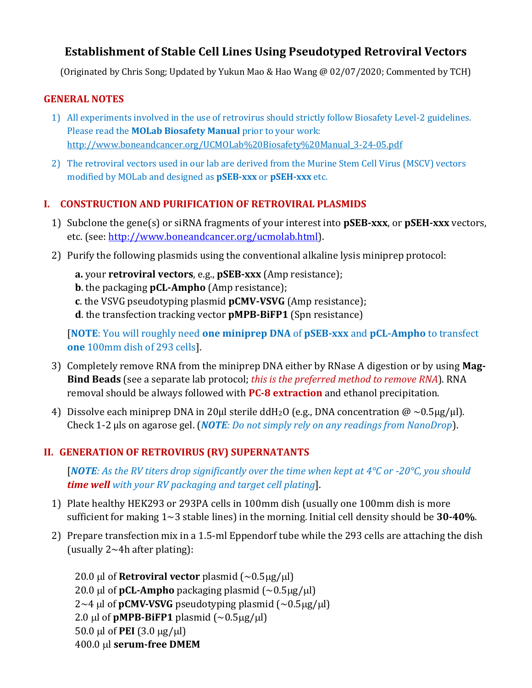# **Establishment of Stable Cell Lines Using Pseudotyped Retroviral Vectors**

(Originated by Chris Song; Updated by Yukun Mao & Hao Wang @ 02/07/2020; Commented by TCH)

#### **GENERAL NOTES**

- 1) All experiments involved in the use of retrovirus should strictly follow Biosafety Level-2 guidelines. Please read the **MOLab Biosafety Manual** prior to your work: [http://www.boneandcancer.org/UCMOLab%20Biosafety%20Manual\\_3-24-05.pdf](http://www.boneandcancer.org/UCMOLab%20Biosafety%20Manual_3-24-05.pdf)
- 2) The retroviral vectors used in our lab are derived from the Murine Stem Cell Virus (MSCV) vectors modified by MOLab and designed as **pSEB-xxx** or **pSEH-xxx** etc.

## **I. CONSTRUCTION AND PURIFICATION OF RETROVIRAL PLASMIDS**

- 1) Subclone the gene(s) or siRNA fragments of your interest into **pSEB-xxx**, or **pSEH-xxx** vectors, etc. (see: [http://www.boneandcancer.org/ucmolab.html\)](http://www.boneandcancer.org/ucmolab.html).
- 2) Purify the following plasmids using the conventional alkaline lysis miniprep protocol:
	- **a.** your **retroviral vectors**, e.g., **pSEB-xxx** (Amp resistance);
	- **b**. the packaging **pCL-Ampho** (Amp resistance);
	- **c**. the VSVG pseudotyping plasmid **pCMV-VSVG** (Amp resistance);
	- **d**. the transfection tracking vector **pMPB-BiFP1** (Spn resistance)

[**NOTE**: You will roughly need **one miniprep DNA** of **pSEB-xxx** and **pCL-Ampho** to transfect **one** 100mm dish of 293 cells].

- 3) Completely remove RNA from the miniprep DNA either by RNase A digestion or by using **Mag-Bind Beads** (see a separate lab protocol; *this is the preferred method to remove RNA*). RNA removal should be always followed with **PC-8 extraction** and ethanol precipitation.
- 4) Dissolve each miniprep DNA in 20 ul sterile ddH<sub>2</sub>O (e.g., DNA concentration  $\omega \sim 0.5 \mu g / \mu$ l). Check 1-2 µls on agarose gel. (*NOTE: Do not simply rely on any readings from NanoDrop*).

## **II. GENERATION OF RETROVIRUS (RV) SUPERNATANTS**

[*NOTE: As the RV titers drop significantly over the time when kept at 4°C or -20°C, you should time well with your RV packaging and target cell plating*].

- 1) Plate healthy HEK293 or 293PA cells in 100mm dish (usually one 100mm dish is more sufficient for making 1~3 stable lines) in the morning. Initial cell density should be **30-40%**.
- 2) Prepare transfection mix in a 1.5-ml Eppendorf tube while the 293 cells are attaching the dish (usually  $2 \sim 4h$  after plating):

20.0 µl of **Retroviral vector** plasmid  $({\sim}0.5 \mu g/\mu l)$ 20.0 µl of **pCL-Ampho** packaging plasmid  $({\sim}0.5 \mu$ g/µl)  $2~4~\mu$ l of **pCMV-VSVG** pseudotyping plasmid (~0.5 $\mu$ g/ $\mu$ l) 2.0  $\mu$ l of **pMPB-BiFP1** plasmid (~0.5 $\mu$ g/ $\mu$ l) 50.0  $\mu$ l of **PEI** (3.0  $\mu$ g/ $\mu$ l) 400.0 μl serum-free DMEM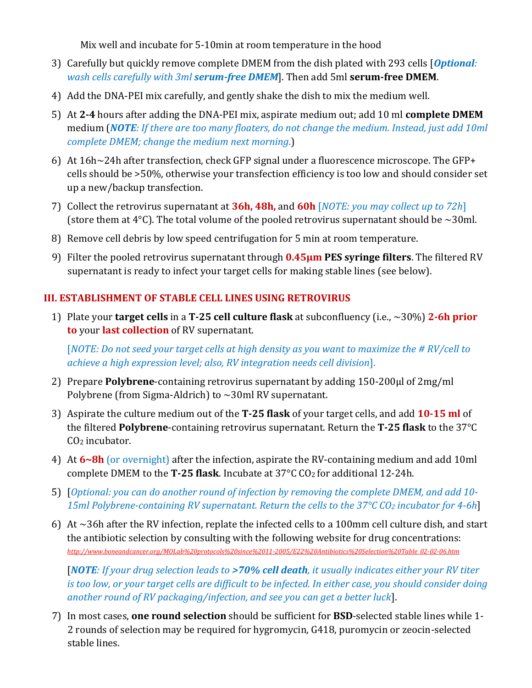Mix well and incubate for 5-10min at room temperature in the hood

- 3) Carefully but quickly remove complete DMEM from the dish plated with 293 cells [*Optional: wash cells carefully with 3ml serum-free DMEM*]. Then add 5ml **serum-free DMEM**.
- 4) Add the DNA-PEI mix carefully, and gently shake the dish to mix the medium well.
- 5) At **2-4** hours after adding the DNA-PEI mix, aspirate medium out; add 10 ml **complete DMEM** medium (*NOTE: If there are too many floaters, do not change the medium. Instead, just add 10ml complete DMEM; change the medium next morning*.)
- 6) At 16h~24h after transfection, check GFP signal under a fluorescence microscope. The GFP+ cells should be >50%, otherwise your transfection efficiency is too low and should consider set up a new/backup transfection.
- 7) Collect the retrovirus supernatant at **36h, 48h,** and **60h** [*NOTE: you may collect up to 72h*] (store them at  $4^{\circ}$ C). The total volume of the pooled retrovirus supernatant should be  $\sim$ 30ml.
- 8) Remove cell debris by low speed centrifugation for 5 min at room temperature.
- 9) Filter the pooled retrovirus supernatant through **0.45µm PES syringe filters**. The filtered RV supernatant is ready to infect your target cells for making stable lines (see below).

## **III. ESTABLISHMENT OF STABLE CELL LINES USING RETROVIRUS**

1) Plate your **target cells** in a **T-25 cell culture flask** at subconfluency (i.e., ~30%) **2-6h prior to** your **last collection** of RV supernatant.

[*NOTE: Do not seed your target cells at high density as you want to maximize the # RV/cell to achieve a high expression level; also, RV integration needs cell division*].

- 2) Prepare **Polybrene**-containing retrovirus supernatant by adding 150-200µl of 2mg/ml Polybrene (from Sigma-Aldrich) to ~30ml RV supernatant.
- 3) Aspirate the culture medium out of the **T-25 flask** of your target cells, and add **10-15 ml** of the filtered **Polybrene**-containing retrovirus supernatant. Return the **T-25 flask** to the 37°C CO<sup>2</sup> incubator.
- 4) At **6~8h** (or overnight) after the infection, aspirate the RV-containing medium and add 10ml complete DMEM to the **T-25 flask**. Incubate at 37°C CO<sup>2</sup> for additional 12-24h.
- 5) [*Optional: you can do another round of infection by removing the complete DMEM, and add 10- 15ml Polybrene-containing RV supernatant. Return the cells to the 37°C CO<sup>2</sup> incubator for 4-6h*]
- 6) At ~36h after the RV infection, replate the infected cells to a 100mm cell culture dish, and start the antibiotic selection by consulting with the following website for drug concentrations: *[http://www.boneandcancer.org/MOLab%20protocols%20since%2011-2005/E22%20Antibiotics%20Selection%20Table\\_02-02-06.htm](http://www.boneandcancer.org/MOLab%20protocols%20since%2011-2005/E22%20Antibiotics%20Selection%20Table_02-02-06.htm)*

[*NOTE: If your drug selection leads to >70% cell death, it usually indicates either your RV titer is too low, or your target cells are difficult to be infected. In either case, you should consider doing another round of RV packaging/infection, and see you can get a better luck*].

7) In most cases, **one round selection** should be sufficient for **BSD**-selected stable lines while 1- 2 rounds of selection may be required for hygromycin, G418, puromycin or zeocin-selected stable lines.